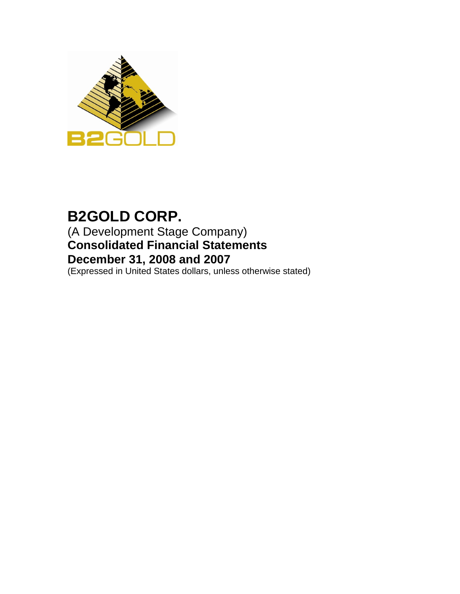

# **B2GOLD CORP.** (A Development Stage Company) **Consolidated Financial Statements December 31, 2008 and 2007**

(Expressed in United States dollars, unless otherwise stated)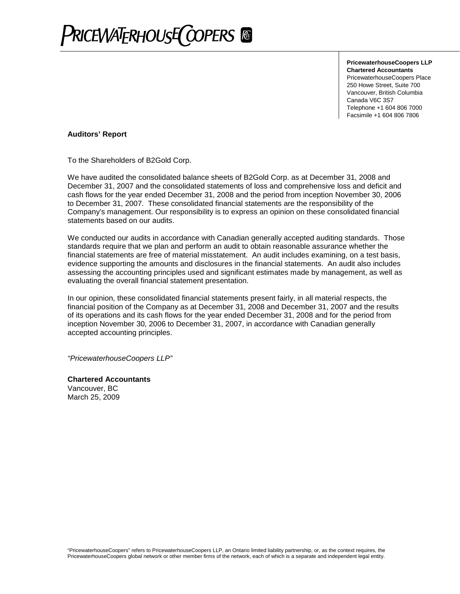

**PricewaterhouseCoopers LLP Chartered Accountants** PricewaterhouseCoopers Place 250 Howe Street, Suite 700 Vancouver, British Columbia Canada V6C 3S7 Telephone +1 604 806 7000 Facsimile +1 604 806 7806

#### **Auditors' Report**

To the Shareholders of B2Gold Corp.

We have audited the consolidated balance sheets of B2Gold Corp. as at December 31, 2008 and December 31, 2007 and the consolidated statements of loss and comprehensive loss and deficit and cash flows for the year ended December 31, 2008 and the period from inception November 30, 2006 to December 31, 2007. These consolidated financial statements are the responsibility of the Company's management. Our responsibility is to express an opinion on these consolidated financial statements based on our audits.

We conducted our audits in accordance with Canadian generally accepted auditing standards. Those standards require that we plan and perform an audit to obtain reasonable assurance whether the financial statements are free of material misstatement. An audit includes examining, on a test basis, evidence supporting the amounts and disclosures in the financial statements. An audit also includes assessing the accounting principles used and significant estimates made by management, as well as evaluating the overall financial statement presentation.

In our opinion, these consolidated financial statements present fairly, in all material respects, the financial position of the Company as at December 31, 2008 and December 31, 2007 and the results of its operations and its cash flows for the year ended December 31, 2008 and for the period from inception November 30, 2006 to December 31, 2007, in accordance with Canadian generally accepted accounting principles.

*"PricewaterhouseCoopers LLP"*

**Chartered Accountants** Vancouver, BC March 25, 2009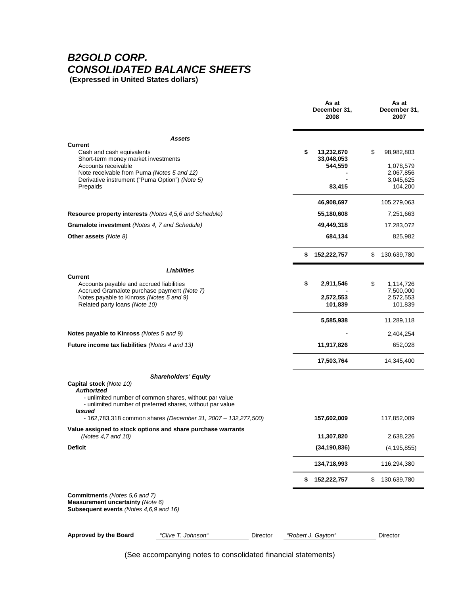### *B2GOLD CORP. CONSOLIDATED BALANCE SHEETS* **(Expressed in United States dollars)**

|                                                                                                                                                                                                    | As at<br>December 31,<br>2008             | As at<br>December 31,<br>2007              |
|----------------------------------------------------------------------------------------------------------------------------------------------------------------------------------------------------|-------------------------------------------|--------------------------------------------|
| Assets                                                                                                                                                                                             |                                           |                                            |
| Current<br>Cash and cash equivalents<br>Short-term money market investments<br>Accounts receivable<br>Note receivable from Puma (Notes 5 and 12)                                                   | 13,232,670<br>\$<br>33,048,053<br>544,559 | \$<br>98,982,803<br>1,078,579<br>2,067,856 |
| Derivative instrument ("Puma Option") (Note 5)<br>Prepaids                                                                                                                                         | 83,415                                    | 3,045,625<br>104,200                       |
|                                                                                                                                                                                                    | 46,908,697                                | 105,279,063                                |
| Resource property interests (Notes 4,5,6 and Schedule)                                                                                                                                             | 55,180,608                                | 7,251,663                                  |
| Gramalote investment (Notes 4, 7 and Schedule)                                                                                                                                                     | 49,449,318                                | 17,283,072                                 |
| Other assets (Note 8)                                                                                                                                                                              | 684,134                                   | 825,982                                    |
|                                                                                                                                                                                                    | 152,222,757<br>\$                         | \$<br>130,639,780                          |
| Liabilities                                                                                                                                                                                        |                                           |                                            |
| Current<br>Accounts payable and accrued liabilities<br>Accrued Gramalote purchase payment (Note 7)                                                                                                 | \$<br>2,911,546                           | \$<br>1,114,726<br>7,500,000               |
| Notes payable to Kinross (Notes 5 and 9)<br>Related party loans (Note 10)                                                                                                                          | 2,572,553<br>101,839                      | 2,572,553<br>101,839                       |
|                                                                                                                                                                                                    | 5,585,938                                 | 11,289,118                                 |
| Notes payable to Kinross (Notes 5 and 9)                                                                                                                                                           |                                           | 2,404,254                                  |
| <b>Future income tax liabilities</b> (Notes 4 and 13)                                                                                                                                              | 11,917,826                                | 652,028                                    |
|                                                                                                                                                                                                    | 17,503,764                                | 14,345,400                                 |
| <b>Shareholders' Equity</b><br>Capital stock (Note 10)<br><b>Authorized</b><br>- unlimited number of common shares, without par value<br>- unlimited number of preferred shares, without par value |                                           |                                            |
| Issued<br>- 162,783,318 common shares (December 31, 2007 - 132,277,500)                                                                                                                            | 157,602,009                               | 117,852,009                                |
| Value assigned to stock options and share purchase warrants<br>(Notes 4,7 and 10)                                                                                                                  | 11,307,820                                | 2,638,226                                  |
| <b>Deficit</b>                                                                                                                                                                                     | (34, 190, 836)                            | (4, 195, 855)                              |
|                                                                                                                                                                                                    | 134,718,993                               | 116,294,380                                |
|                                                                                                                                                                                                    | 152,222,757<br>\$                         | 130,639,780<br>\$                          |
| Commitments (Notes 5,6 and 7)<br>Measurement uncertainty (Note 6)<br><b>Subsequent events (Notes 4.6.9 and 16)</b>                                                                                 |                                           |                                            |
| Approved by the Board<br>"Clive T. Johnson"<br>Director                                                                                                                                            | "Robert J. Gayton"                        | Director                                   |

(See accompanying notes to consolidated financial statements)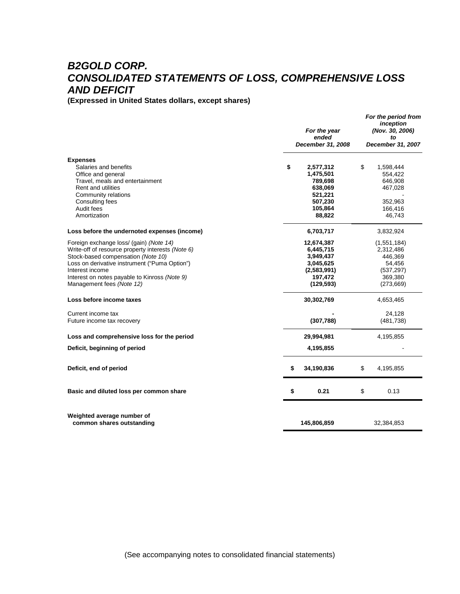# *B2GOLD CORP. CONSOLIDATED STATEMENTS OF LOSS, COMPREHENSIVE LOSS AND DEFICIT*

**(Expressed in United States dollars, except shares)**

|                                                                                                                                                                                                                                                                                      | For the year<br>ended<br>December 31, 2008                                                    | For the period from<br>inception<br>(Nov. 30, 2006)<br>tΩ<br>December 31, 2007       |
|--------------------------------------------------------------------------------------------------------------------------------------------------------------------------------------------------------------------------------------------------------------------------------------|-----------------------------------------------------------------------------------------------|--------------------------------------------------------------------------------------|
| <b>Expenses</b><br>Salaries and benefits<br>Office and general<br>Travel, meals and entertainment<br><b>Rent and utilities</b><br>Community relations<br>Consulting fees<br>Audit fees<br>Amortization                                                                               | \$<br>2,577,312<br>1,475,501<br>789,698<br>638,069<br>521,221<br>507,230<br>105,864<br>88,822 | \$<br>1,598,444<br>554,422<br>646,908<br>467,028<br>352,963<br>166,416<br>46,743     |
| Loss before the undernoted expenses (income)                                                                                                                                                                                                                                         | 6,703,717                                                                                     | 3,832,924                                                                            |
| Foreign exchange loss/ (gain) (Note 14)<br>Write-off of resource property interests (Note 6)<br>Stock-based compensation (Note 10)<br>Loss on derivative instrument ("Puma Option")<br>Interest income<br>Interest on notes payable to Kinross (Note 9)<br>Management fees (Note 12) | 12,674,387<br>6,445,715<br>3,949,437<br>3,045,625<br>(2,583,991)<br>197,472<br>(129, 593)     | (1,551,184)<br>2,312,486<br>446,369<br>54,456<br>(537, 297)<br>369,380<br>(273, 669) |
| Loss before income taxes                                                                                                                                                                                                                                                             | 30,302,769                                                                                    | 4,653,465                                                                            |
| Current income tax<br>Future income tax recovery                                                                                                                                                                                                                                     | (307, 788)                                                                                    | 24,128<br>(481, 738)                                                                 |
| Loss and comprehensive loss for the period                                                                                                                                                                                                                                           | 29,994,981                                                                                    | 4,195,855                                                                            |
| Deficit, beginning of period                                                                                                                                                                                                                                                         | 4,195,855                                                                                     |                                                                                      |
| Deficit, end of period                                                                                                                                                                                                                                                               | \$<br>34,190,836                                                                              | \$<br>4,195,855                                                                      |
| Basic and diluted loss per common share                                                                                                                                                                                                                                              | \$<br>0.21                                                                                    | \$<br>0.13                                                                           |
| Weighted average number of<br>common shares outstanding                                                                                                                                                                                                                              | 145,806,859                                                                                   | 32,384,853                                                                           |

(See accompanying notes to consolidated financial statements)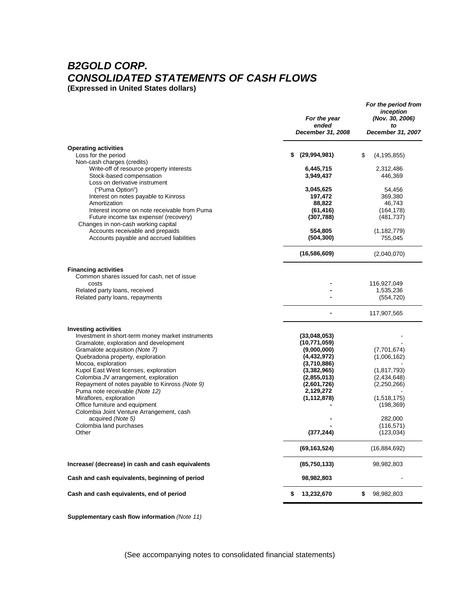# *B2GOLD CORP. CONSOLIDATED STATEMENTS OF CASH FLOWS*

**(Expressed in United States dollars)**

|                                                                                             | For the year<br>ended<br>December 31, 2008 | For the period from<br>inception<br>(Nov. 30, 2006)<br>to<br>December 31, 2007 |
|---------------------------------------------------------------------------------------------|--------------------------------------------|--------------------------------------------------------------------------------|
| <b>Operating activities</b>                                                                 |                                            |                                                                                |
| Loss for the period<br>Non-cash charges (credits)                                           | \$<br>(29,994,981)                         | \$<br>(4, 195, 855)                                                            |
| Write-off of resource property interests                                                    | 6,445,715                                  | 2,312,486                                                                      |
| Stock-based compensation<br>Loss on derivative instrument                                   | 3,949,437                                  | 446,369                                                                        |
| ("Puma Option")                                                                             | 3,045,625                                  | 54,456                                                                         |
| Interest on notes payable to Kinross                                                        | 197,472<br>88,822                          | 369,380                                                                        |
| Amortization<br>Interest income on note receivable from Puma                                | (61, 416)                                  | 46,743<br>(164, 178)                                                           |
| Future income tax expense/ (recovery)                                                       | (307, 788)                                 | (481, 737)                                                                     |
| Changes in non-cash working capital                                                         |                                            |                                                                                |
| Accounts receivable and prepaids                                                            | 554,805                                    | (1, 182, 779)                                                                  |
| Accounts payable and accrued liabilities                                                    | (504, 300)                                 | 755,045                                                                        |
|                                                                                             | (16, 586, 609)                             | (2,040,070)                                                                    |
| <b>Financing activities</b><br>Common shares issued for cash, net of issue                  |                                            |                                                                                |
| costs                                                                                       |                                            | 116,927,049                                                                    |
| Related party loans, received                                                               |                                            | 1,535,236                                                                      |
| Related party loans, repayments                                                             |                                            | (554, 720)                                                                     |
|                                                                                             |                                            | 117,907,565                                                                    |
| <b>Investing activities</b>                                                                 |                                            |                                                                                |
| Investment in short-term money market instruments<br>Gramalote, exploration and development | (33,048,053)<br>(10, 771, 059)             |                                                                                |
| Gramalote acquisition (Note 7)                                                              | (9,000,000)                                | (7,701,674)                                                                    |
| Quebradona property, exploration                                                            | (4, 432, 972)                              | (1,006,162)                                                                    |
| Mocoa, exploration                                                                          | (3,710,886)                                |                                                                                |
| Kupol East West licenses, exploration                                                       | (3,382,965)                                | (1, 817, 793)                                                                  |
| Colombia JV arrangement, exploration                                                        | (2,855,013)                                | (2,434,648)                                                                    |
| Repayment of notes payable to Kinross (Note 9)                                              | (2,601,726)                                | (2,250,266)                                                                    |
| Puma note receivable (Note 12)<br>Miraflores, exploration                                   | 2,129,272<br>(1, 112, 878)                 | (1,518,175)                                                                    |
| Office furniture and equipment                                                              |                                            | (198, 369)                                                                     |
| Colombia Joint Venture Arrangement, cash                                                    |                                            |                                                                                |
| acquired (Note 5)                                                                           |                                            | 282,000                                                                        |
| Colombia land purchases                                                                     |                                            | (116, 571)                                                                     |
| Other                                                                                       | (377, 244)                                 | (123, 034)                                                                     |
|                                                                                             | (69, 163, 524)                             | (16,884,692)                                                                   |
| Increase/ (decrease) in cash and cash equivalents                                           | (85,750,133)                               | 98,982,803                                                                     |
| Cash and cash equivalents, beginning of period                                              | 98,982,803                                 |                                                                                |
| Cash and cash equivalents, end of period                                                    | 13,232,670<br>\$                           | 98,982,803<br>\$                                                               |

**Supplementary cash flow information** *(Note 11)*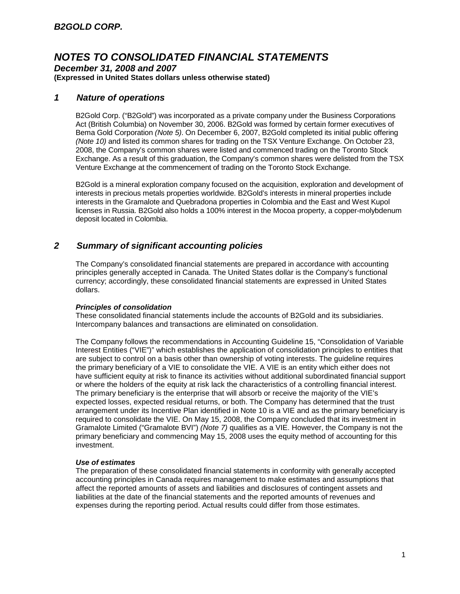*December 31, 2008 and 2007* **(Expressed in United States dollars unless otherwise stated)**

### *1 Nature of operations*

B2Gold Corp. ("B2Gold") was incorporated as a private company under the Business Corporations Act (British Columbia) on November 30, 2006. B2Gold was formed by certain former executives of Bema Gold Corporation *(Note 5)*. On December 6, 2007, B2Gold completed its initial public offering *(Note 10)* and listed its common shares for trading on the TSX Venture Exchange. On October 23, 2008, the Company's common shares were listed and commenced trading on the Toronto Stock Exchange. As a result of this graduation, the Company's common shares were delisted from the TSX Venture Exchange at the commencement of trading on the Toronto Stock Exchange.

B2Gold is a mineral exploration company focused on the acquisition, exploration and development of interests in precious metals properties worldwide. B2Gold's interests in mineral properties include interests in the Gramalote and Quebradona properties in Colombia and the East and West Kupol licenses in Russia. B2Gold also holds a 100% interest in the Mocoa property, a copper-molybdenum deposit located in Colombia.

### *2 Summary of significant accounting policies*

The Company's consolidated financial statements are prepared in accordance with accounting principles generally accepted in Canada. The United States dollar is the Company's functional currency; accordingly, these consolidated financial statements are expressed in United States dollars.

### *Principles of consolidation*

These consolidated financial statements include the accounts of B2Gold and its subsidiaries. Intercompany balances and transactions are eliminated on consolidation.

The Company follows the recommendations in Accounting Guideline 15, "Consolidation of Variable Interest Entities ("VIE")" which establishes the application of consolidation principles to entities that are subject to control on a basis other than ownership of voting interests. The guideline requires the primary beneficiary of a VIE to consolidate the VIE. A VIE is an entity which either does not have sufficient equity at risk to finance its activities without additional subordinated financial support or where the holders of the equity at risk lack the characteristics of a controlling financial interest. The primary beneficiary is the enterprise that will absorb or receive the majority of the VIE's expected losses, expected residual returns, or both. The Company has determined that the trust arrangement under its Incentive Plan identified in Note 10 is a VIE and as the primary beneficiary is required to consolidate the VIE. On May 15, 2008, the Company concluded that its investment in Gramalote Limited ("Gramalote BVI") *(Note 7)* qualifies as a VIE. However, the Company is not the primary beneficiary and commencing May 15, 2008 uses the equity method of accounting for this investment.

### *Use of estimates*

The preparation of these consolidated financial statements in conformity with generally accepted accounting principles in Canada requires management to make estimates and assumptions that affect the reported amounts of assets and liabilities and disclosures of contingent assets and liabilities at the date of the financial statements and the reported amounts of revenues and expenses during the reporting period. Actual results could differ from those estimates.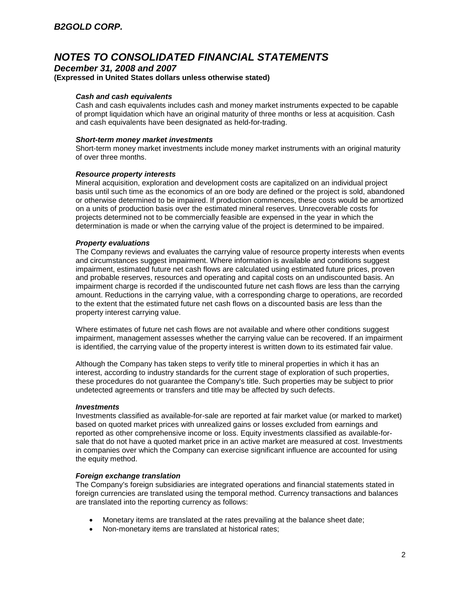*December 31, 2008 and 2007* **(Expressed in United States dollars unless otherwise stated)**

### *Cash and cash equivalents*

Cash and cash equivalents includes cash and money market instruments expected to be capable of prompt liquidation which have an original maturity of three months or less at acquisition. Cash and cash equivalents have been designated as held-for-trading.

### *Short-term money market investments*

Short-term money market investments include money market instruments with an original maturity of over three months.

### *Resource property interests*

Mineral acquisition, exploration and development costs are capitalized on an individual project basis until such time as the economics of an ore body are defined or the project is sold, abandoned or otherwise determined to be impaired. If production commences, these costs would be amortized on a units of production basis over the estimated mineral reserves. Unrecoverable costs for projects determined not to be commercially feasible are expensed in the year in which the determination is made or when the carrying value of the project is determined to be impaired.

### *Property evaluations*

The Company reviews and evaluates the carrying value of resource property interests when events and circumstances suggest impairment. Where information is available and conditions suggest impairment, estimated future net cash flows are calculated using estimated future prices, proven and probable reserves, resources and operating and capital costs on an undiscounted basis. An impairment charge is recorded if the undiscounted future net cash flows are less than the carrying amount. Reductions in the carrying value, with a corresponding charge to operations, are recorded to the extent that the estimated future net cash flows on a discounted basis are less than the property interest carrying value.

Where estimates of future net cash flows are not available and where other conditions suggest impairment, management assesses whether the carrying value can be recovered. If an impairment is identified, the carrying value of the property interest is written down to its estimated fair value.

Although the Company has taken steps to verify title to mineral properties in which it has an interest, according to industry standards for the current stage of exploration of such properties, these procedures do not guarantee the Company's title. Such properties may be subject to prior undetected agreements or transfers and title may be affected by such defects.

### *Investments*

Investments classified as available-for-sale are reported at fair market value (or marked to market) based on quoted market prices with unrealized gains or losses excluded from earnings and reported as other comprehensive income or loss. Equity investments classified as available-forsale that do not have a quoted market price in an active market are measured at cost. Investments in companies over which the Company can exercise significant influence are accounted for using the equity method.

### *Foreign exchange translation*

The Company's foreign subsidiaries are integrated operations and financial statements stated in foreign currencies are translated using the temporal method. Currency transactions and balances are translated into the reporting currency as follows:

- Monetary items are translated at the rates prevailing at the balance sheet date;
- Non-monetary items are translated at historical rates;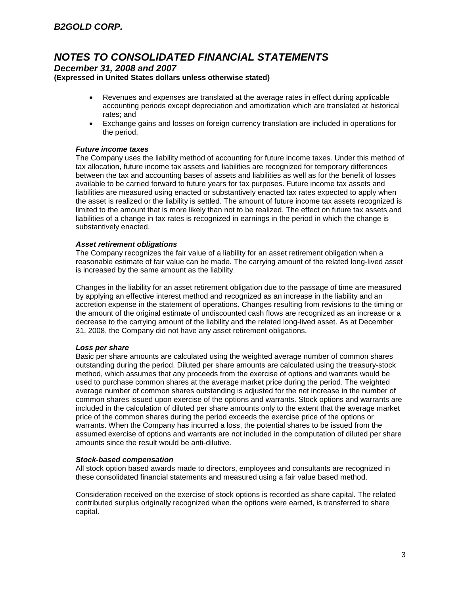*December 31, 2008 and 2007*

**(Expressed in United States dollars unless otherwise stated)**

- Revenues and expenses are translated at the average rates in effect during applicable accounting periods except depreciation and amortization which are translated at historical rates; and
- Exchange gains and losses on foreign currency translation are included in operations for the period.

### *Future income taxes*

The Company uses the liability method of accounting for future income taxes. Under this method of tax allocation, future income tax assets and liabilities are recognized for temporary differences between the tax and accounting bases of assets and liabilities as well as for the benefit of losses available to be carried forward to future years for tax purposes. Future income tax assets and liabilities are measured using enacted or substantively enacted tax rates expected to apply when the asset is realized or the liability is settled. The amount of future income tax assets recognized is limited to the amount that is more likely than not to be realized. The effect on future tax assets and liabilities of a change in tax rates is recognized in earnings in the period in which the change is substantively enacted.

### *Asset retirement obligations*

The Company recognizes the fair value of a liability for an asset retirement obligation when a reasonable estimate of fair value can be made. The carrying amount of the related long-lived asset is increased by the same amount as the liability.

Changes in the liability for an asset retirement obligation due to the passage of time are measured by applying an effective interest method and recognized as an increase in the liability and an accretion expense in the statement of operations. Changes resulting from revisions to the timing or the amount of the original estimate of undiscounted cash flows are recognized as an increase or a decrease to the carrying amount of the liability and the related long-lived asset. As at December 31, 2008, the Company did not have any asset retirement obligations.

### *Loss per share*

Basic per share amounts are calculated using the weighted average number of common shares outstanding during the period. Diluted per share amounts are calculated using the treasury-stock method, which assumes that any proceeds from the exercise of options and warrants would be used to purchase common shares at the average market price during the period. The weighted average number of common shares outstanding is adjusted for the net increase in the number of common shares issued upon exercise of the options and warrants. Stock options and warrants are included in the calculation of diluted per share amounts only to the extent that the average market price of the common shares during the period exceeds the exercise price of the options or warrants. When the Company has incurred a loss, the potential shares to be issued from the assumed exercise of options and warrants are not included in the computation of diluted per share amounts since the result would be anti-dilutive.

### *Stock-based compensation*

All stock option based awards made to directors, employees and consultants are recognized in these consolidated financial statements and measured using a fair value based method.

Consideration received on the exercise of stock options is recorded as share capital. The related contributed surplus originally recognized when the options were earned, is transferred to share capital.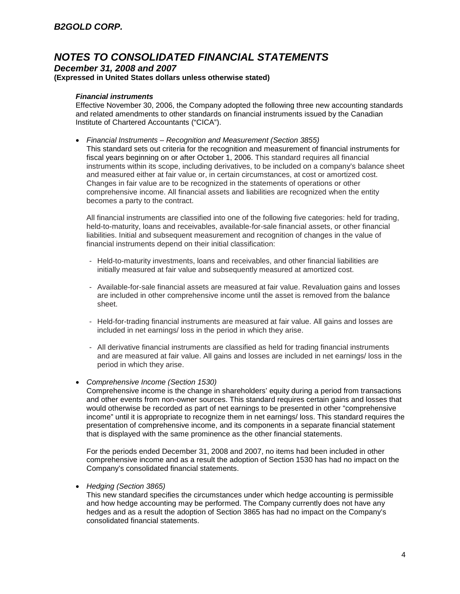*December 31, 2008 and 2007* **(Expressed in United States dollars unless otherwise stated)**

### *Financial instruments*

Effective November 30, 2006, the Company adopted the following three new accounting standards and related amendments to other standards on financial instruments issued by the Canadian Institute of Chartered Accountants ("CICA").

 *Financial Instruments – Recognition and Measurement (Section 3855)* This standard sets out criteria for the recognition and measurement of financial instruments for fiscal years beginning on or after October 1, 2006. This standard requires all financial instruments within its scope, including derivatives, to be included on a company's balance sheet and measured either at fair value or, in certain circumstances, at cost or amortized cost. Changes in fair value are to be recognized in the statements of operations or other comprehensive income. All financial assets and liabilities are recognized when the entity becomes a party to the contract.

All financial instruments are classified into one of the following five categories: held for trading, held-to-maturity, loans and receivables, available-for-sale financial assets, or other financial liabilities. Initial and subsequent measurement and recognition of changes in the value of financial instruments depend on their initial classification:

- Held-to-maturity investments, loans and receivables, and other financial liabilities are initially measured at fair value and subsequently measured at amortized cost.
- Available-for-sale financial assets are measured at fair value. Revaluation gains and losses are included in other comprehensive income until the asset is removed from the balance sheet.
- Held-for-trading financial instruments are measured at fair value. All gains and losses are included in net earnings/ loss in the period in which they arise.
- All derivative financial instruments are classified as held for trading financial instruments and are measured at fair value. All gains and losses are included in net earnings/ loss in the period in which they arise.
- *Comprehensive Income (Section 1530)*

Comprehensive income is the change in shareholders' equity during a period from transactions and other events from non-owner sources. This standard requires certain gains and losses that would otherwise be recorded as part of net earnings to be presented in other "comprehensive income" until it is appropriate to recognize them in net earnings/ loss. This standard requires the presentation of comprehensive income, and its components in a separate financial statement that is displayed with the same prominence as the other financial statements.

For the periods ended December 31, 2008 and 2007, no items had been included in other comprehensive income and as a result the adoption of Section 1530 has had no impact on the Company's consolidated financial statements.

#### *Hedging (Section 3865)*

This new standard specifies the circumstances under which hedge accounting is permissible and how hedge accounting may be performed. The Company currently does not have any hedges and as a result the adoption of Section 3865 has had no impact on the Company's consolidated financial statements.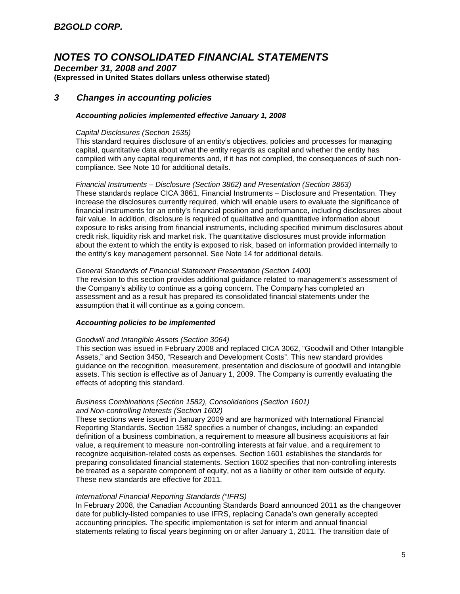*December 31, 2008 and 2007* **(Expressed in United States dollars unless otherwise stated)**

### *3 Changes in accounting policies*

### *Accounting policies implemented effective January 1, 2008*

### *Capital Disclosures (Section 1535)*

This standard requires disclosure of an entity's objectives, policies and processes for managing capital, quantitative data about what the entity regards as capital and whether the entity has complied with any capital requirements and, if it has not complied, the consequences of such noncompliance. See Note 10 for additional details.

#### *Financial Instruments – Disclosure (Section 3862) and Presentation (Section 3863)*

These standards replace CICA 3861, Financial Instruments – Disclosure and Presentation. They increase the disclosures currently required, which will enable users to evaluate the significance of financial instruments for an entity's financial position and performance, including disclosures about fair value. In addition, disclosure is required of qualitative and quantitative information about exposure to risks arising from financial instruments, including specified minimum disclosures about credit risk, liquidity risk and market risk. The quantitative disclosures must provide information about the extent to which the entity is exposed to risk, based on information provided internally to the entity's key management personnel. See Note 14 for additional details.

#### *General Standards of Financial Statement Presentation (Section 1400)*

The revision to this section provides additional guidance related to management's assessment of the Company's ability to continue as a going concern. The Company has completed an assessment and as a result has prepared its consolidated financial statements under the assumption that it will continue as a going concern.

### *Accounting policies to be implemented*

### *Goodwill and Intangible Assets (Section 3064)*

This section was issued in February 2008 and replaced CICA 3062, "Goodwill and Other Intangible Assets," and Section 3450, "Research and Development Costs". This new standard provides guidance on the recognition, measurement, presentation and disclosure of goodwill and intangible assets. This section is effective as of January 1, 2009. The Company is currently evaluating the effects of adopting this standard.

### *Business Combinations (Section 1582), Consolidations (Section 1601) and Non-controlling Interests (Section 1602)*

These sections were issued in January 2009 and are harmonized with International Financial Reporting Standards. Section 1582 specifies a number of changes, including: an expanded definition of a business combination, a requirement to measure all business acquisitions at fair value, a requirement to measure non-controlling interests at fair value, and a requirement to recognize acquisition-related costs as expenses. Section 1601 establishes the standards for preparing consolidated financial statements. Section 1602 specifies that non-controlling interests be treated as a separate component of equity, not as a liability or other item outside of equity. These new standards are effective for 2011.

### *International Financial Reporting Standards ("IFRS)*

In February 2008, the Canadian Accounting Standards Board announced 2011 as the changeover date for publicly-listed companies to use IFRS, replacing Canada's own generally accepted accounting principles. The specific implementation is set for interim and annual financial statements relating to fiscal years beginning on or after January 1, 2011. The transition date of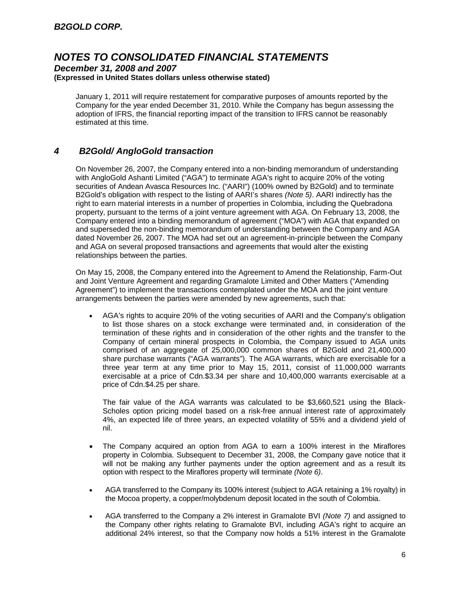### *December 31, 2008 and 2007* **(Expressed in United States dollars unless otherwise stated)**

January 1, 2011 will require restatement for comparative purposes of amounts reported by the Company for the year ended December 31, 2010. While the Company has begun assessing the adoption of IFRS, the financial reporting impact of the transition to IFRS cannot be reasonably estimated at this time.

### *4 B2Gold/ AngloGold transaction*

On November 26, 2007, the Company entered into a non-binding memorandum of understanding with AngloGold Ashanti Limited ("AGA") to terminate AGA's right to acquire 20% of the voting securities of Andean Avasca Resources Inc. ("AARI") (100% owned by B2Gold) and to terminate B2Gold's obligation with respect to the listing of AARI's shares *(Note 5)*. AARI indirectly has the right to earn material interests in a number of properties in Colombia, including the Quebradona property, pursuant to the terms of a joint venture agreement with AGA. On February 13, 2008, the Company entered into a binding memorandum of agreement ("MOA") with AGA that expanded on and superseded the non-binding memorandum of understanding between the Company and AGA dated November 26, 2007. The MOA had set out an agreement-in-principle between the Company and AGA on several proposed transactions and agreements that would alter the existing relationships between the parties.

On May 15, 2008, the Company entered into the Agreement to Amend the Relationship, Farm-Out and Joint Venture Agreement and regarding Gramalote Limited and Other Matters ("Amending Agreement") to implement the transactions contemplated under the MOA and the joint venture arrangements between the parties were amended by new agreements, such that:

 AGA's rights to acquire 20% of the voting securities of AARI and the Company's obligation to list those shares on a stock exchange were terminated and, in consideration of the termination of these rights and in consideration of the other rights and the transfer to the Company of certain mineral prospects in Colombia, the Company issued to AGA units comprised of an aggregate of 25,000,000 common shares of B2Gold and 21,400,000 share purchase warrants ("AGA warrants"). The AGA warrants, which are exercisable for a three year term at any time prior to May 15, 2011, consist of 11,000,000 warrants exercisable at a price of Cdn.\$3.34 per share and 10,400,000 warrants exercisable at a price of Cdn.\$4.25 per share.

The fair value of the AGA warrants was calculated to be \$3,660,521 using the Black-Scholes option pricing model based on a risk-free annual interest rate of approximately 4%, an expected life of three years, an expected volatility of 55% and a dividend yield of nil.

- The Company acquired an option from AGA to earn a 100% interest in the Miraflores property in Colombia. Subsequent to December 31, 2008, the Company gave notice that it will not be making any further payments under the option agreement and as a result its option with respect to the Miraflores property will terminate *(Note 6)*.
- AGA transferred to the Company its 100% interest (subject to AGA retaining a 1% royalty) in the Mocoa property, a copper/molybdenum deposit located in the south of Colombia.
- AGA transferred to the Company a 2% interest in Gramalote BVI *(Note 7)* and assigned to the Company other rights relating to Gramalote BVI, including AGA's right to acquire an additional 24% interest, so that the Company now holds a 51% interest in the Gramalote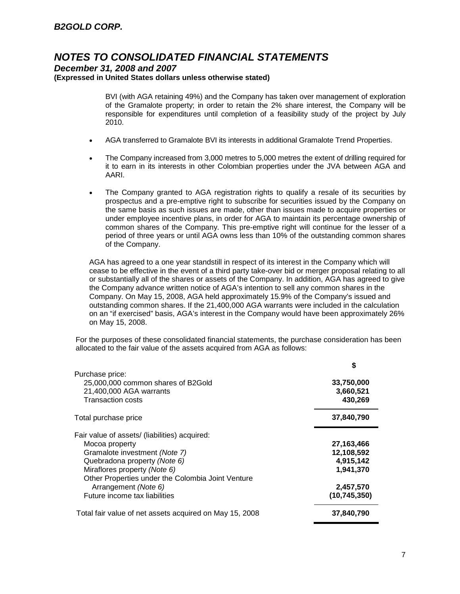*December 31, 2008 and 2007*

**(Expressed in United States dollars unless otherwise stated)**

BVI (with AGA retaining 49%) and the Company has taken over management of exploration of the Gramalote property; in order to retain the 2% share interest, the Company will be responsible for expenditures until completion of a feasibility study of the project by July 2010.

- AGA transferred to Gramalote BVI its interests in additional Gramalote Trend Properties.
- The Company increased from 3,000 metres to 5,000 metres the extent of drilling required for it to earn in its interests in other Colombian properties under the JVA between AGA and AARI.
- The Company granted to AGA registration rights to qualify a resale of its securities by prospectus and a pre-emptive right to subscribe for securities issued by the Company on the same basis as such issues are made, other than issues made to acquire properties or under employee incentive plans, in order for AGA to maintain its percentage ownership of common shares of the Company. This pre-emptive right will continue for the lesser of a period of three years or until AGA owns less than 10% of the outstanding common shares of the Company.

AGA has agreed to a one year standstill in respect of its interest in the Company which will cease to be effective in the event of a third party take-over bid or merger proposal relating to all or substantially all of the shares or assets of the Company. In addition, AGA has agreed to give the Company advance written notice of AGA's intention to sell any common shares in the Company. On May 15, 2008, AGA held approximately 15.9% of the Company's issued and outstanding common shares. If the 21,400,000 AGA warrants were included in the calculation on an "if exercised" basis, AGA's interest in the Company would have been approximately 26% on May 15, 2008.

For the purposes of these consolidated financial statements, the purchase consideration has been allocated to the fair value of the assets acquired from AGA as follows:

|                                                         | \$             |
|---------------------------------------------------------|----------------|
| Purchase price:                                         |                |
| 25,000,000 common shares of B2Gold                      | 33,750,000     |
| 21,400,000 AGA warrants                                 | 3,660,521      |
| <b>Transaction costs</b>                                | 430,269        |
| Total purchase price                                    | 37,840,790     |
| Fair value of assets/ (liabilities) acquired:           |                |
| Mocoa property                                          | 27,163,466     |
| Gramalote investment (Note 7)                           | 12,108,592     |
| Quebradona property (Note 6)                            | 4,915,142      |
| Miraflores property (Note 6)                            | 1,941,370      |
| Other Properties under the Colombia Joint Venture       |                |
| Arrangement (Note 6)                                    | 2,457,570      |
| Future income tax liabilities                           | (10, 745, 350) |
| Total fair value of net assets acquired on May 15, 2008 | 37,840,790     |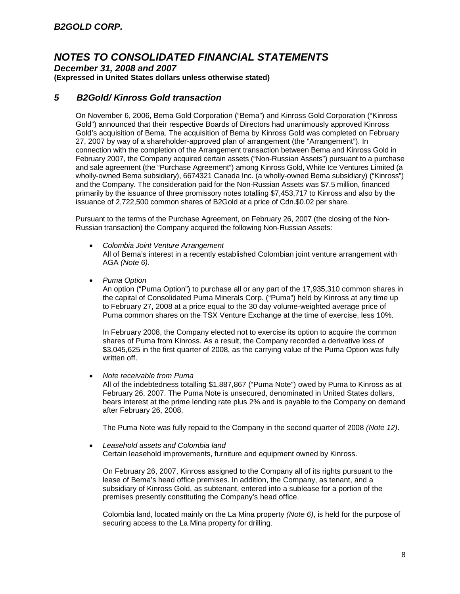*December 31, 2008 and 2007*

**(Expressed in United States dollars unless otherwise stated)**

### *5 B2Gold/ Kinross Gold transaction*

On November 6, 2006, Bema Gold Corporation ("Bema") and Kinross Gold Corporation ("Kinross Gold") announced that their respective Boards of Directors had unanimously approved Kinross Gold's acquisition of Bema. The acquisition of Bema by Kinross Gold was completed on February 27, 2007 by way of a shareholder-approved plan of arrangement (the "Arrangement"). In connection with the completion of the Arrangement transaction between Bema and Kinross Gold in February 2007, the Company acquired certain assets ("Non-Russian Assets") pursuant to a purchase and sale agreement (the "Purchase Agreement") among Kinross Gold, White Ice Ventures Limited (a wholly-owned Bema subsidiary), 6674321 Canada Inc. (a wholly-owned Bema subsidiary) ("Kinross") and the Company. The consideration paid for the Non-Russian Assets was \$7.5 million, financed primarily by the issuance of three promissory notes totalling \$7,453,717 to Kinross and also by the issuance of 2,722,500 common shares of B2Gold at a price of Cdn.\$0.02 per share.

Pursuant to the terms of the Purchase Agreement, on February 26, 2007 (the closing of the Non-Russian transaction) the Company acquired the following Non-Russian Assets:

- *Colombia Joint Venture Arrangement* All of Bema's interest in a recently established Colombian joint venture arrangement with AGA *(Note 6)*.
- *Puma Option*

An option ("Puma Option") to purchase all or any part of the 17,935,310 common shares in the capital of Consolidated Puma Minerals Corp. ("Puma") held by Kinross at any time up to February 27, 2008 at a price equal to the 30 day volume-weighted average price of Puma common shares on the TSX Venture Exchange at the time of exercise, less 10%.

In February 2008, the Company elected not to exercise its option to acquire the common shares of Puma from Kinross. As a result, the Company recorded a derivative loss of \$3,045,625 in the first quarter of 2008, as the carrying value of the Puma Option was fully written off.

*Note receivable from Puma*

All of the indebtedness totalling \$1,887,867 ("Puma Note") owed by Puma to Kinross as at February 26, 2007. The Puma Note is unsecured, denominated in United States dollars, bears interest at the prime lending rate plus 2% and is payable to the Company on demand after February 26, 2008.

The Puma Note was fully repaid to the Company in the second quarter of 2008 *(Note 12)*.

 *Leasehold assets and Colombia land* Certain leasehold improvements, furniture and equipment owned by Kinross.

On February 26, 2007, Kinross assigned to the Company all of its rights pursuant to the lease of Bema's head office premises. In addition, the Company, as tenant, and a subsidiary of Kinross Gold, as subtenant, entered into a sublease for a portion of the premises presently constituting the Company's head office.

Colombia land, located mainly on the La Mina property *(Note 6)*, is held for the purpose of securing access to the La Mina property for drilling.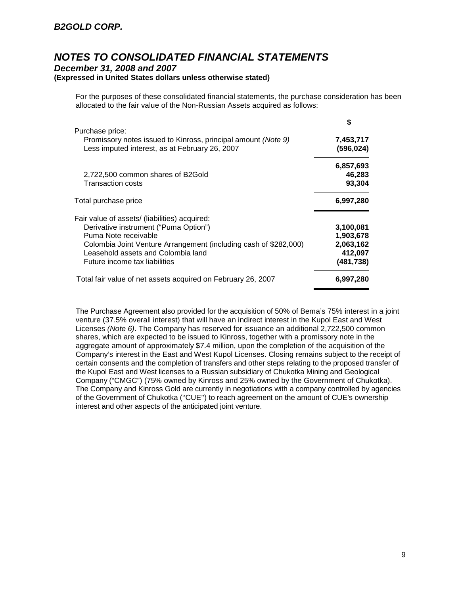### *December 31, 2008 and 2007*

### **(Expressed in United States dollars unless otherwise stated)**

For the purposes of these consolidated financial statements, the purchase consideration has been allocated to the fair value of the Non-Russian Assets acquired as follows:

**\$**

| C          |
|------------|
| 7,453,717  |
| (596,024)  |
| 6,857,693  |
| 46,283     |
| 93,304     |
| 6,997,280  |
|            |
| 3,100,081  |
| 1,903,678  |
| 2,063,162  |
| 412,097    |
| (481, 738) |
| 6.997.280  |
|            |

The Purchase Agreement also provided for the acquisition of 50% of Bema's 75% interest in a joint venture (37.5% overall interest) that will have an indirect interest in the Kupol East and West Licenses *(Note 6)*. The Company has reserved for issuance an additional 2,722,500 common shares, which are expected to be issued to Kinross, together with a promissory note in the aggregate amount of approximately \$7.4 million, upon the completion of the acquisition of the Company's interest in the East and West Kupol Licenses. Closing remains subject to the receipt of certain consents and the completion of transfers and other steps relating to the proposed transfer of the Kupol East and West licenses to a Russian subsidiary of Chukotka Mining and Geological Company ("CMGC") (75% owned by Kinross and 25% owned by the Government of Chukotka). The Company and Kinross Gold are currently in negotiations with a company controlled by agencies of the Government of Chukotka (''CUE'') to reach agreement on the amount of CUE's ownership interest and other aspects of the anticipated joint venture.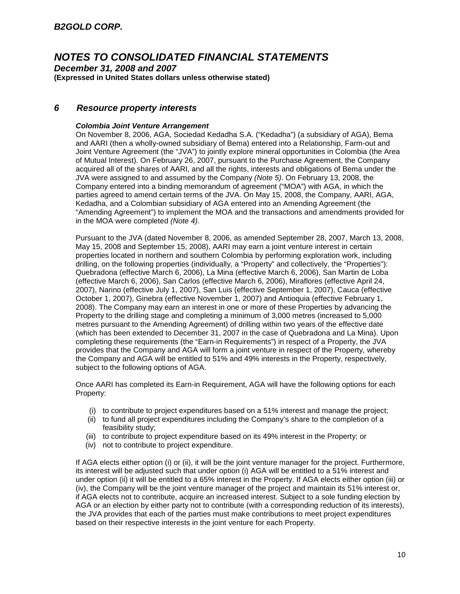*December 31, 2008 and 2007* **(Expressed in United States dollars unless otherwise stated)**

### *6 Resource property interests*

### *Colombia Joint Venture Arrangement*

On November 8, 2006, AGA, Sociedad Kedadha S.A. ("Kedadha") (a subsidiary of AGA), Bema and AARI (then a wholly-owned subsidiary of Bema) entered into a Relationship, Farm-out and Joint Venture Agreement (the "JVA") to jointly explore mineral opportunities in Colombia (the Area of Mutual Interest). On February 26, 2007, pursuant to the Purchase Agreement, the Company acquired all of the shares of AARI, and all the rights, interests and obligations of Bema under the JVA were assigned to and assumed by the Company *(Note 5)*. On February 13, 2008, the Company entered into a binding memorandum of agreement ("MOA") with AGA, in which the parties agreed to amend certain terms of the JVA. On May 15, 2008, the Company, AARI, AGA, Kedadha, and a Colombian subsidiary of AGA entered into an Amending Agreement (the "Amending Agreement") to implement the MOA and the transactions and amendments provided for in the MOA were completed *(Note 4)*.

Pursuant to the JVA (dated November 8, 2006, as amended September 28, 2007, March 13, 2008, May 15, 2008 and September 15, 2008), AARI may earn a joint venture interest in certain properties located in northern and southern Colombia by performing exploration work, including drilling, on the following properties (individually, a "Property" and collectively, the "Properties"): Quebradona (effective March 6, 2006), La Mina (effective March 6, 2006), San Martin de Loba (effective March 6, 2006), San Carlos (effective March 6, 2006), Miraflores (effective April 24, 2007), Narino (effective July 1, 2007), San Luis (effective September 1, 2007), Cauca (effective October 1, 2007), Ginebra (effective November 1, 2007) and Antioquia (effective February 1, 2008). The Company may earn an interest in one or more of these Properties by advancing the Property to the drilling stage and completing a minimum of 3,000 metres (increased to 5,000 metres pursuant to the Amending Agreement) of drilling within two years of the effective date (which has been extended to December 31, 2007 in the case of Quebradona and La Mina). Upon completing these requirements (the "Earn-in Requirements") in respect of a Property, the JVA provides that the Company and AGA will form a joint venture in respect of the Property, whereby the Company and AGA will be entitled to 51% and 49% interests in the Property, respectively, subject to the following options of AGA.

Once AARI has completed its Earn-in Requirement, AGA will have the following options for each Property:

- (i) to contribute to project expenditures based on a 51% interest and manage the project;
- (ii) to fund all project expenditures including the Company's share to the completion of a feasibility study;
- (iii) to contribute to project expenditure based on its 49% interest in the Property; or
- (iv) not to contribute to project expenditure.

If AGA elects either option (i) or (ii), it will be the joint venture manager for the project. Furthermore, its interest will be adjusted such that under option (i) AGA will be entitled to a 51% interest and under option (ii) it will be entitled to a 65% interest in the Property. If AGA elects either option (iii) or (iv), the Company will be the joint venture manager of the project and maintain its 51% interest or, if AGA elects not to contribute, acquire an increased interest. Subject to a sole funding election by AGA or an election by either party not to contribute (with a corresponding reduction of its interests), the JVA provides that each of the parties must make contributions to meet project expenditures based on their respective interests in the joint venture for each Property.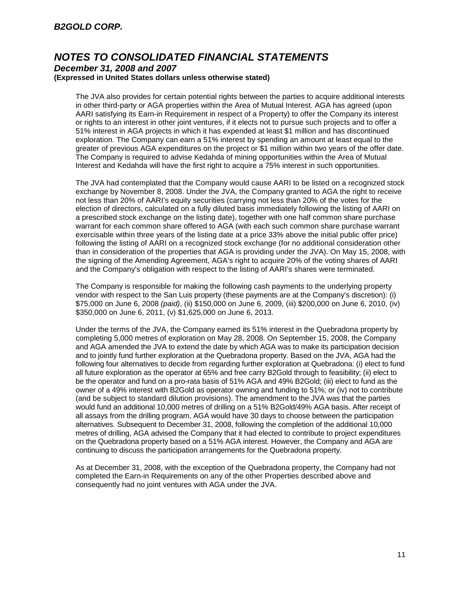#### *December 31, 2008 and 2007* **(Expressed in United States dollars unless otherwise stated)**

The JVA also provides for certain potential rights between the parties to acquire additional interests in other third-party or AGA properties within the Area of Mutual Interest. AGA has agreed (upon AARI satisfying its Earn-in Requirement in respect of a Property) to offer the Company its interest or rights to an interest in other joint ventures, if it elects not to pursue such projects and to offer a 51% interest in AGA projects in which it has expended at least \$1 million and has discontinued exploration. The Company can earn a 51% interest by spending an amount at least equal to the greater of previous AGA expenditures on the project or \$1 million within two years of the offer date. The Company is required to advise Kedahda of mining opportunities within the Area of Mutual Interest and Kedahda will have the first right to acquire a 75% interest in such opportunities.

The JVA had contemplated that the Company would cause AARI to be listed on a recognized stock exchange by November 8, 2008. Under the JVA, the Company granted to AGA the right to receive not less than 20% of AARI's equity securities (carrying not less than 20% of the votes for the election of directors, calculated on a fully diluted basis immediately following the listing of AARI on a prescribed stock exchange on the listing date), together with one half common share purchase warrant for each common share offered to AGA (with each such common share purchase warrant exercisable within three years of the listing date at a price 33% above the initial public offer price) following the listing of AARI on a recognized stock exchange (for no additional consideration other than in consideration of the properties that AGA is providing under the JVA). On May 15, 2008, with the signing of the Amending Agreement, AGA's right to acquire 20% of the voting shares of AARI and the Company's obligation with respect to the listing of AARI's shares were terminated.

The Company is responsible for making the following cash payments to the underlying property vendor with respect to the San Luis property (these payments are at the Company's discretion): (i) \$75,000 on June 6, 2008 *(paid)*, (ii) \$150,000 on June 6, 2009, (iii) \$200,000 on June 6, 2010, (iv) \$350,000 on June 6, 2011, (v) \$1,625,000 on June 6, 2013.

Under the terms of the JVA, the Company earned its 51% interest in the Quebradona property by completing 5,000 metres of exploration on May 28, 2008. On September 15, 2008, the Company and AGA amended the JVA to extend the date by which AGA was to make its participation decision and to jointly fund further exploration at the Quebradona property. Based on the JVA, AGA had the following four alternatives to decide from regarding further exploration at Quebradona: (i) elect to fund all future exploration as the operator at 65% and free carry B2Gold through to feasibility; (ii) elect to be the operator and fund on a pro-rata basis of 51% AGA and 49% B2Gold; (iii) elect to fund as the owner of a 49% interest with B2Gold as operator owning and funding to 51%; or (iv) not to contribute (and be subject to standard dilution provisions). The amendment to the JVA was that the parties would fund an additional 10,000 metres of drilling on a 51% B2Gold/49% AGA basis. After receipt of all assays from the drilling program, AGA would have 30 days to choose between the participation alternatives. Subsequent to December 31, 2008, following the completion of the additional 10,000 metres of drilling, AGA advised the Company that it had elected to contribute to project expenditures on the Quebradona property based on a 51% AGA interest. However, the Company and AGA are continuing to discuss the participation arrangements for the Quebradona property.

As at December 31, 2008, with the exception of the Quebradona property, the Company had not completed the Earn-in Requirements on any of the other Properties described above and consequently had no joint ventures with AGA under the JVA.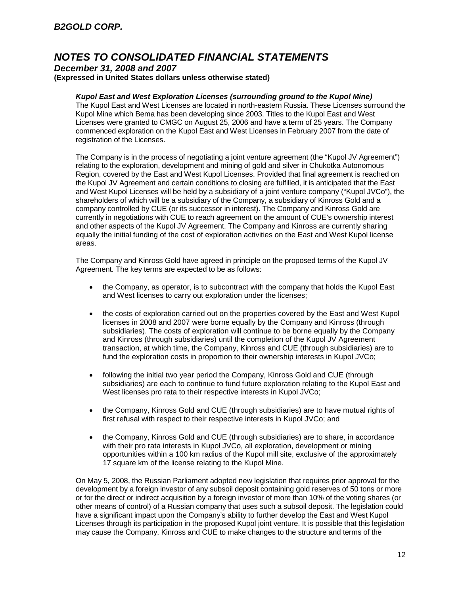### *December 31, 2008 and 2007* **(Expressed in United States dollars unless otherwise stated)**

### *Kupol East and West Exploration Licenses (surrounding ground to the Kupol Mine)*

The Kupol East and West Licenses are located in north-eastern Russia. These Licenses surround the Kupol Mine which Bema has been developing since 2003. Titles to the Kupol East and West Licenses were granted to CMGC on August 25, 2006 and have a term of 25 years. The Company commenced exploration on the Kupol East and West Licenses in February 2007 from the date of registration of the Licenses.

The Company is in the process of negotiating a joint venture agreement (the "Kupol JV Agreement") relating to the exploration, development and mining of gold and silver in Chukotka Autonomous Region, covered by the East and West Kupol Licenses. Provided that final agreement is reached on the Kupol JV Agreement and certain conditions to closing are fulfilled, it is anticipated that the East and West Kupol Licenses will be held by a subsidiary of a joint venture company ("Kupol JVCo"), the shareholders of which will be a subsidiary of the Company, a subsidiary of Kinross Gold and a company controlled by CUE (or its successor in interest). The Company and Kinross Gold are currently in negotiations with CUE to reach agreement on the amount of CUE's ownership interest and other aspects of the Kupol JV Agreement. The Company and Kinross are currently sharing equally the initial funding of the cost of exploration activities on the East and West Kupol license areas.

The Company and Kinross Gold have agreed in principle on the proposed terms of the Kupol JV Agreement. The key terms are expected to be as follows:

- the Company, as operator, is to subcontract with the company that holds the Kupol East and West licenses to carry out exploration under the licenses;
- the costs of exploration carried out on the properties covered by the East and West Kupol licenses in 2008 and 2007 were borne equally by the Company and Kinross (through subsidiaries). The costs of exploration will continue to be borne equally by the Company and Kinross (through subsidiaries) until the completion of the Kupol JV Agreement transaction, at which time, the Company, Kinross and CUE (through subsidiaries) are to fund the exploration costs in proportion to their ownership interests in Kupol JVCo;
- following the initial two year period the Company, Kinross Gold and CUE (through subsidiaries) are each to continue to fund future exploration relating to the Kupol East and West licenses pro rata to their respective interests in Kupol JVCo;
- the Company, Kinross Gold and CUE (through subsidiaries) are to have mutual rights of first refusal with respect to their respective interests in Kupol JVCo; and
- the Company, Kinross Gold and CUE (through subsidiaries) are to share, in accordance with their pro rata interests in Kupol JVCo, all exploration, development or mining opportunities within a 100 km radius of the Kupol mill site, exclusive of the approximately 17 square km of the license relating to the Kupol Mine.

On May 5, 2008, the Russian Parliament adopted new legislation that requires prior approval for the development by a foreign investor of any subsoil deposit containing gold reserves of 50 tons or more or for the direct or indirect acquisition by a foreign investor of more than 10% of the voting shares (or other means of control) of a Russian company that uses such a subsoil deposit. The legislation could have a significant impact upon the Company's ability to further develop the East and West Kupol Licenses through its participation in the proposed Kupol joint venture. It is possible that this legislation may cause the Company, Kinross and CUE to make changes to the structure and terms of the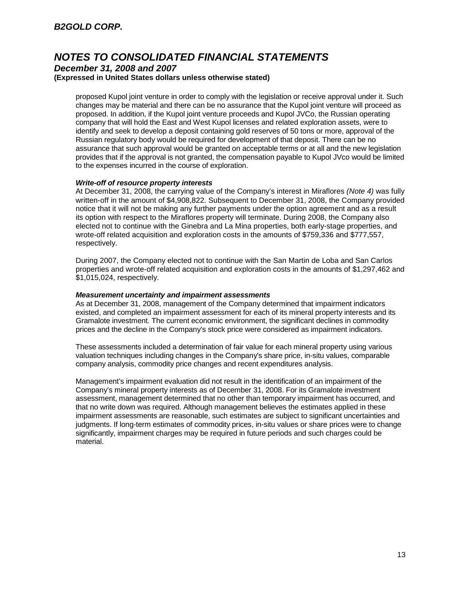### *December 31, 2008 and 2007* **(Expressed in United States dollars unless otherwise stated)**

proposed Kupol joint venture in order to comply with the legislation or receive approval under it. Such changes may be material and there can be no assurance that the Kupol joint venture will proceed as proposed. In addition, if the Kupol joint venture proceeds and Kupol JVCo, the Russian operating company that will hold the East and West Kupol licenses and related exploration assets, were to identify and seek to develop a deposit containing gold reserves of 50 tons or more, approval of the Russian regulatory body would be required for development of that deposit. There can be no assurance that such approval would be granted on acceptable terms or at all and the new legislation provides that if the approval is not granted, the compensation payable to Kupol JVco would be limited to the expenses incurred in the course of exploration.

### *Write-off of resource property interests*

At December 31, 2008, the carrying value of the Company's interest in Miraflores *(Note 4)* was fully written-off in the amount of \$4,908,822. Subsequent to December 31, 2008, the Company provided notice that it will not be making any further payments under the option agreement and as a result its option with respect to the Miraflores property will terminate. During 2008, the Company also elected not to continue with the Ginebra and La Mina properties, both early-stage properties, and wrote-off related acquisition and exploration costs in the amounts of \$759,336 and \$777,557, respectively.

During 2007, the Company elected not to continue with the San Martin de Loba and San Carlos properties and wrote-off related acquisition and exploration costs in the amounts of \$1,297,462 and \$1,015,024, respectively.

### *Measurement uncertainty and impairment assessments*

As at December 31, 2008, management of the Company determined that impairment indicators existed, and completed an impairment assessment for each of its mineral property interests and its Gramalote investment. The current economic environment, the significant declines in commodity prices and the decline in the Company's stock price were considered as impairment indicators.

These assessments included a determination of fair value for each mineral property using various valuation techniques including changes in the Company's share price, in-situ values, comparable company analysis, commodity price changes and recent expenditures analysis.

Management's impairment evaluation did not result in the identification of an impairment of the Company's mineral property interests as of December 31, 2008. For its Gramalote investment assessment, management determined that no other than temporary impairment has occurred, and that no write down was required. Although management believes the estimates applied in these impairment assessments are reasonable, such estimates are subject to significant uncertainties and judgments. If long-term estimates of commodity prices, in-situ values or share prices were to change significantly, impairment charges may be required in future periods and such charges could be material.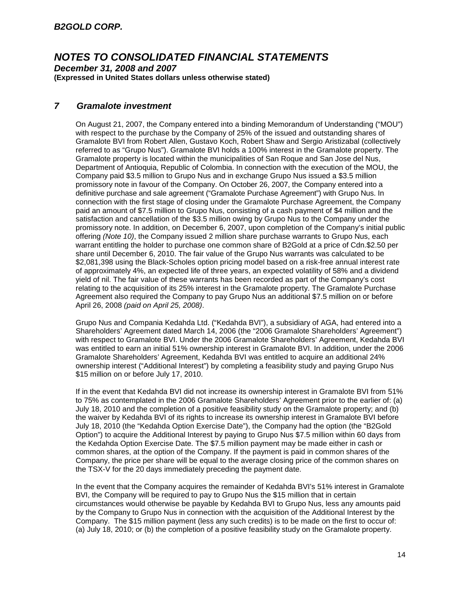*December 31, 2008 and 2007* **(Expressed in United States dollars unless otherwise stated)**

### *7 Gramalote investment*

On August 21, 2007, the Company entered into a binding Memorandum of Understanding ("MOU") with respect to the purchase by the Company of 25% of the issued and outstanding shares of Gramalote BVI from Robert Allen, Gustavo Koch, Robert Shaw and Sergio Aristizabal (collectively referred to as "Grupo Nus"). Gramalote BVI holds a 100% interest in the Gramalote property. The Gramalote property is located within the municipalities of San Roque and San Jose del Nus, Department of Antioquia, Republic of Colombia. In connection with the execution of the MOU, the Company paid \$3.5 million to Grupo Nus and in exchange Grupo Nus issued a \$3.5 million promissory note in favour of the Company. On October 26, 2007, the Company entered into a definitive purchase and sale agreement ("Gramalote Purchase Agreement") with Grupo Nus. In connection with the first stage of closing under the Gramalote Purchase Agreement, the Company paid an amount of \$7.5 million to Grupo Nus, consisting of a cash payment of \$4 million and the satisfaction and cancellation of the \$3.5 million owing by Grupo Nus to the Company under the promissory note. In addition, on December 6, 2007, upon completion of the Company's initial public offering *(Note 10)*, the Company issued 2 million share purchase warrants to Grupo Nus, each warrant entitling the holder to purchase one common share of B2Gold at a price of Cdn.\$2.50 per share until December 6, 2010. The fair value of the Grupo Nus warrants was calculated to be \$2,081,398 using the Black-Scholes option pricing model based on a risk-free annual interest rate of approximately 4%, an expected life of three years, an expected volatility of 58% and a dividend yield of nil. The fair value of these warrants has been recorded as part of the Company's cost relating to the acquisition of its 25% interest in the Gramalote property. The Gramalote Purchase Agreement also required the Company to pay Grupo Nus an additional \$7.5 million on or before April 26, 2008 *(paid on April 25, 2008)*.

Grupo Nus and Compania Kedahda Ltd. ("Kedahda BVI"), a subsidiary of AGA, had entered into a Shareholders' Agreement dated March 14, 2006 (the "2006 Gramalote Shareholders' Agreement") with respect to Gramalote BVI. Under the 2006 Gramalote Shareholders' Agreement, Kedahda BVI was entitled to earn an initial 51% ownership interest in Gramalote BVI. In addition, under the 2006 Gramalote Shareholders' Agreement, Kedahda BVI was entitled to acquire an additional 24% ownership interest ("Additional Interest") by completing a feasibility study and paying Grupo Nus \$15 million on or before July 17, 2010.

If in the event that Kedahda BVI did not increase its ownership interest in Gramalote BVI from 51% to 75% as contemplated in the 2006 Gramalote Shareholders' Agreement prior to the earlier of: (a) July 18, 2010 and the completion of a positive feasibility study on the Gramalote property; and (b) the waiver by Kedahda BVI of its rights to increase its ownership interest in Gramalote BVI before July 18, 2010 (the "Kedahda Option Exercise Date"), the Company had the option (the "B2Gold Option") to acquire the Additional Interest by paying to Grupo Nus \$7.5 million within 60 days from the Kedahda Option Exercise Date. The \$7.5 million payment may be made either in cash or common shares, at the option of the Company. If the payment is paid in common shares of the Company, the price per share will be equal to the average closing price of the common shares on the TSX-V for the 20 days immediately preceding the payment date.

In the event that the Company acquires the remainder of Kedahda BVI's 51% interest in Gramalote BVI, the Company will be required to pay to Grupo Nus the \$15 million that in certain circumstances would otherwise be payable by Kedahda BVI to Grupo Nus, less any amounts paid by the Company to Grupo Nus in connection with the acquisition of the Additional Interest by the Company. The \$15 million payment (less any such credits) is to be made on the first to occur of: (a) July 18, 2010; or (b) the completion of a positive feasibility study on the Gramalote property.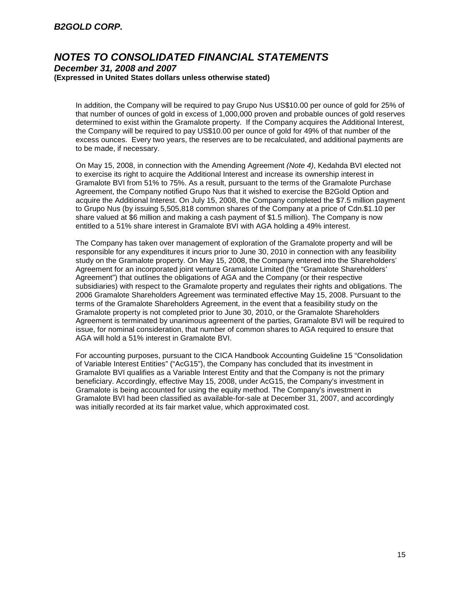### *B2GOLD CORP.*

### *NOTES TO CONSOLIDATED FINANCIAL STATEMENTS December 31, 2008 and 2007*

#### **(Expressed in United States dollars unless otherwise stated)**

In addition, the Company will be required to pay Grupo Nus US\$10.00 per ounce of gold for 25% of that number of ounces of gold in excess of 1,000,000 proven and probable ounces of gold reserves determined to exist within the Gramalote property. If the Company acquires the Additional Interest, the Company will be required to pay US\$10.00 per ounce of gold for 49% of that number of the excess ounces. Every two years, the reserves are to be recalculated, and additional payments are to be made, if necessary.

On May 15, 2008, in connection with the Amending Agreement *(Note 4)*, Kedahda BVI elected not to exercise its right to acquire the Additional Interest and increase its ownership interest in Gramalote BVI from 51% to 75%. As a result, pursuant to the terms of the Gramalote Purchase Agreement, the Company notified Grupo Nus that it wished to exercise the B2Gold Option and acquire the Additional Interest. On July 15, 2008, the Company completed the \$7.5 million payment to Grupo Nus (by issuing 5,505,818 common shares of the Company at a price of Cdn.\$1.10 per share valued at \$6 million and making a cash payment of \$1.5 million). The Company is now entitled to a 51% share interest in Gramalote BVI with AGA holding a 49% interest.

The Company has taken over management of exploration of the Gramalote property and will be responsible for any expenditures it incurs prior to June 30, 2010 in connection with any feasibility study on the Gramalote property. On May 15, 2008, the Company entered into the Shareholders' Agreement for an incorporated joint venture Gramalote Limited (the "Gramalote Shareholders' Agreement") that outlines the obligations of AGA and the Company (or their respective subsidiaries) with respect to the Gramalote property and regulates their rights and obligations. The 2006 Gramalote Shareholders Agreement was terminated effective May 15, 2008. Pursuant to the terms of the Gramalote Shareholders Agreement, in the event that a feasibility study on the Gramalote property is not completed prior to June 30, 2010, or the Gramalote Shareholders Agreement is terminated by unanimous agreement of the parties, Gramalote BVI will be required to issue, for nominal consideration, that number of common shares to AGA required to ensure that AGA will hold a 51% interest in Gramalote BVI.

For accounting purposes, pursuant to the CICA Handbook Accounting Guideline 15 "Consolidation of Variable Interest Entities" ("AcG15"), the Company has concluded that its investment in Gramalote BVI qualifies as a Variable Interest Entity and that the Company is not the primary beneficiary. Accordingly, effective May 15, 2008, under AcG15, the Company's investment in Gramalote is being accounted for using the equity method. The Company's investment in Gramalote BVI had been classified as available-for-sale at December 31, 2007, and accordingly was initially recorded at its fair market value, which approximated cost.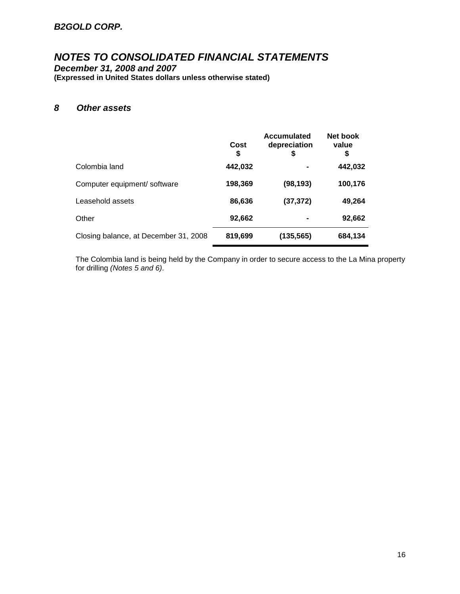### *B2GOLD CORP.*

# *NOTES TO CONSOLIDATED FINANCIAL STATEMENTS*

*December 31, 2008 and 2007* **(Expressed in United States dollars unless otherwise stated)**

### *8 Other assets*

|                                       | Cost<br>S | <b>Accumulated</b><br>depreciation<br>S | Net book<br>value<br>\$ |
|---------------------------------------|-----------|-----------------------------------------|-------------------------|
| Colombia land                         | 442,032   |                                         | 442,032                 |
| Computer equipment/ software          | 198,369   | (98, 193)                               | 100,176                 |
| Leasehold assets                      | 86,636    | (37, 372)                               | 49,264                  |
| Other                                 | 92,662    |                                         | 92,662                  |
| Closing balance, at December 31, 2008 | 819,699   | (135, 565)                              | 684,134                 |

The Colombia land is being held by the Company in order to secure access to the La Mina property for drilling *(Notes 5 and 6)*.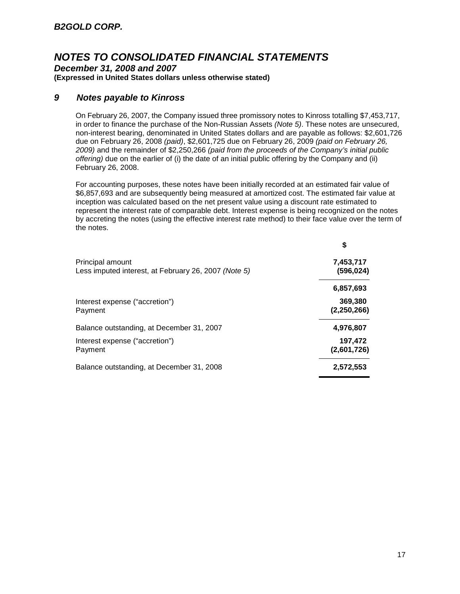*December 31, 2008 and 2007* **(Expressed in United States dollars unless otherwise stated)**

### *9 Notes payable to Kinross*

On February 26, 2007, the Company issued three promissory notes to Kinross totalling \$7,453,717, in order to finance the purchase of the Non-Russian Assets *(Note 5)*. These notes are unsecured, non-interest bearing, denominated in United States dollars and are payable as follows: \$2,601,726 due on February 26, 2008 *(paid)*, \$2,601,725 due on February 26, 2009 *(paid on February 26, 2009)* and the remainder of \$2,250,266 *(paid from the proceeds of the Company's initial public offering)* due on the earlier of (i) the date of an initial public offering by the Company and (ii) February 26, 2008.

For accounting purposes, these notes have been initially recorded at an estimated fair value of \$6,857,693 and are subsequently being measured at amortized cost. The estimated fair value at inception was calculated based on the net present value using a discount rate estimated to represent the interest rate of comparable debt. Interest expense is being recognized on the notes by accreting the notes (using the effective interest rate method) to their face value over the term of the notes.

|                                                                          | \$                     |
|--------------------------------------------------------------------------|------------------------|
| Principal amount<br>Less imputed interest, at February 26, 2007 (Note 5) | 7,453,717<br>(596,024) |
|                                                                          | 6,857,693              |
| Interest expense ("accretion")<br>Payment                                | 369,380<br>(2,250,266) |
| Balance outstanding, at December 31, 2007                                | 4,976,807              |
| Interest expense ("accretion")<br>Payment                                | 197,472<br>(2,601,726) |
| Balance outstanding, at December 31, 2008                                | 2.572.553              |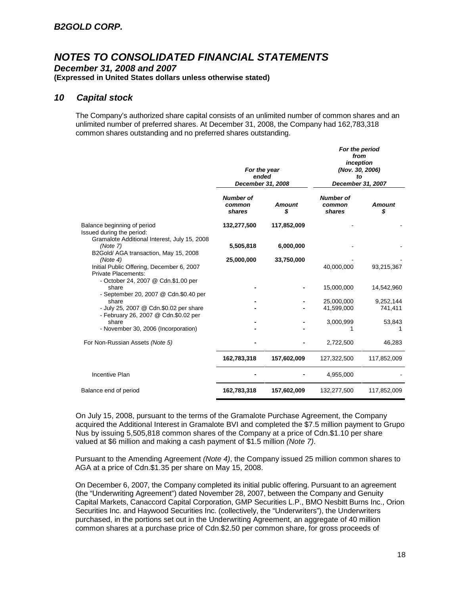*December 31, 2008 and 2007* **(Expressed in United States dollars unless otherwise stated)**

### *10 Capital stock*

The Company's authorized share capital consists of an unlimited number of common shares and an unlimited number of preferred shares. At December 31, 2008, the Company had 162,783,318 common shares outstanding and no preferred shares outstanding.

|                                                                                                                     | For the year<br>ended<br>December 31, 2008 |                     | For the period<br>from<br>inception<br>(Nov. 30, 2006)<br>tΟ<br>December 31, 2007 |                      |
|---------------------------------------------------------------------------------------------------------------------|--------------------------------------------|---------------------|-----------------------------------------------------------------------------------|----------------------|
|                                                                                                                     | <b>Number of</b><br>common<br>shares       | <b>Amount</b><br>\$ | <b>Number of</b><br>common<br>shares                                              | <b>Amount</b><br>\$  |
| Balance beginning of period<br>Issued during the period:<br>Gramalote Additional Interest, July 15, 2008            | 132,277,500                                | 117,852,009         |                                                                                   |                      |
| (Note 7)<br>B2Gold/ AGA transaction, May 15, 2008                                                                   | 5,505,818                                  | 6,000,000           |                                                                                   |                      |
| (Note 4)<br>Initial Public Offering, December 6, 2007<br>Private Placements:<br>- October 24, 2007 @ Cdn.\$1.00 per | 25,000,000                                 | 33,750,000          | 40,000,000                                                                        | 93,215,367           |
| share<br>- September 20, 2007 @ Cdn.\$0.40 per                                                                      |                                            |                     | 15,000,000                                                                        | 14,542,960           |
| share<br>- July 25, 2007 @ Cdn.\$0.02 per share<br>- February 26, 2007 @ Cdn.\$0.02 per                             |                                            |                     | 25,000,000<br>41,599,000                                                          | 9,252,144<br>741,411 |
| share<br>- November 30, 2006 (Incorporation)                                                                        |                                            |                     | 3,000,999                                                                         | 53,843               |
| For Non-Russian Assets (Note 5)                                                                                     |                                            |                     | 2,722,500                                                                         | 46,283               |
|                                                                                                                     | 162,783,318                                | 157,602,009         | 127,322,500                                                                       | 117,852,009          |
| Incentive Plan                                                                                                      |                                            |                     | 4,955,000                                                                         |                      |
| Balance end of period                                                                                               | 162,783,318                                | 157,602,009         | 132,277,500                                                                       | 117,852,009          |

On July 15, 2008, pursuant to the terms of the Gramalote Purchase Agreement, the Company acquired the Additional Interest in Gramalote BVI and completed the \$7.5 million payment to Grupo Nus by issuing 5,505,818 common shares of the Company at a price of Cdn.\$1.10 per share valued at \$6 million and making a cash payment of \$1.5 million *(Note 7)*.

Pursuant to the Amending Agreement *(Note 4)*, the Company issued 25 million common shares to AGA at a price of Cdn.\$1.35 per share on May 15, 2008.

On December 6, 2007, the Company completed its initial public offering. Pursuant to an agreement (the "Underwriting Agreement") dated November 28, 2007, between the Company and Genuity Capital Markets, Canaccord Capital Corporation, GMP Securities L.P., BMO Nesbitt Burns Inc., Orion Securities Inc. and Haywood Securities Inc. (collectively, the "Underwriters"), the Underwriters purchased, in the portions set out in the Underwriting Agreement, an aggregate of 40 million common shares at a purchase price of Cdn.\$2.50 per common share, for gross proceeds of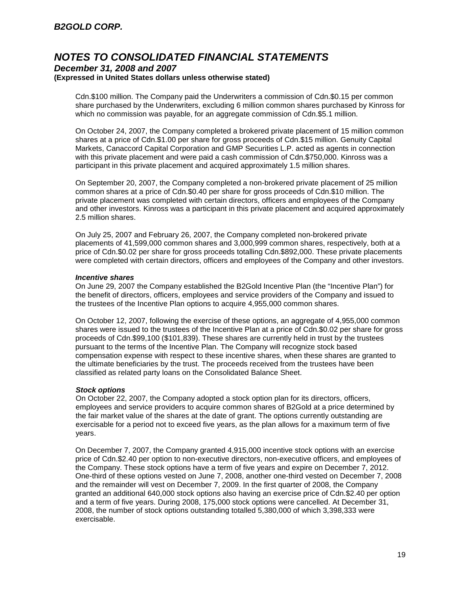#### *December 31, 2008 and 2007* **(Expressed in United States dollars unless otherwise stated)**

Cdn.\$100 million. The Company paid the Underwriters a commission of Cdn.\$0.15 per common share purchased by the Underwriters, excluding 6 million common shares purchased by Kinross for which no commission was payable, for an aggregate commission of Cdn.\$5.1 million.

On October 24, 2007, the Company completed a brokered private placement of 15 million common shares at a price of Cdn.\$1.00 per share for gross proceeds of Cdn.\$15 million. Genuity Capital Markets, Canaccord Capital Corporation and GMP Securities L.P. acted as agents in connection with this private placement and were paid a cash commission of Cdn.\$750,000. Kinross was a participant in this private placement and acquired approximately 1.5 million shares.

On September 20, 2007, the Company completed a non-brokered private placement of 25 million common shares at a price of Cdn.\$0.40 per share for gross proceeds of Cdn.\$10 million. The private placement was completed with certain directors, officers and employees of the Company and other investors. Kinross was a participant in this private placement and acquired approximately 2.5 million shares.

On July 25, 2007 and February 26, 2007, the Company completed non-brokered private placements of 41,599,000 common shares and 3,000,999 common shares, respectively, both at a price of Cdn.\$0.02 per share for gross proceeds totalling Cdn.\$892,000. These private placements were completed with certain directors, officers and employees of the Company and other investors.

### *Incentive shares*

On June 29, 2007 the Company established the B2Gold Incentive Plan (the "Incentive Plan") for the benefit of directors, officers, employees and service providers of the Company and issued to the trustees of the Incentive Plan options to acquire 4,955,000 common shares.

On October 12, 2007, following the exercise of these options, an aggregate of 4,955,000 common shares were issued to the trustees of the Incentive Plan at a price of Cdn.\$0.02 per share for gross proceeds of Cdn.\$99,100 (\$101,839). These shares are currently held in trust by the trustees pursuant to the terms of the Incentive Plan. The Company will recognize stock based compensation expense with respect to these incentive shares, when these shares are granted to the ultimate beneficiaries by the trust. The proceeds received from the trustees have been classified as related party loans on the Consolidated Balance Sheet.

### *Stock options*

On October 22, 2007, the Company adopted a stock option plan for its directors, officers, employees and service providers to acquire common shares of B2Gold at a price determined by the fair market value of the shares at the date of grant. The options currently outstanding are exercisable for a period not to exceed five years, as the plan allows for a maximum term of five years.

On December 7, 2007, the Company granted 4,915,000 incentive stock options with an exercise price of Cdn.\$2.40 per option to non-executive directors, non-executive officers, and employees of the Company. These stock options have a term of five years and expire on December 7, 2012. One-third of these options vested on June 7, 2008, another one-third vested on December 7, 2008 and the remainder will vest on December 7, 2009. In the first quarter of 2008, the Company granted an additional 640,000 stock options also having an exercise price of Cdn.\$2.40 per option and a term of five years. During 2008, 175,000 stock options were cancelled. At December 31, 2008, the number of stock options outstanding totalled 5,380,000 of which 3,398,333 were exercisable.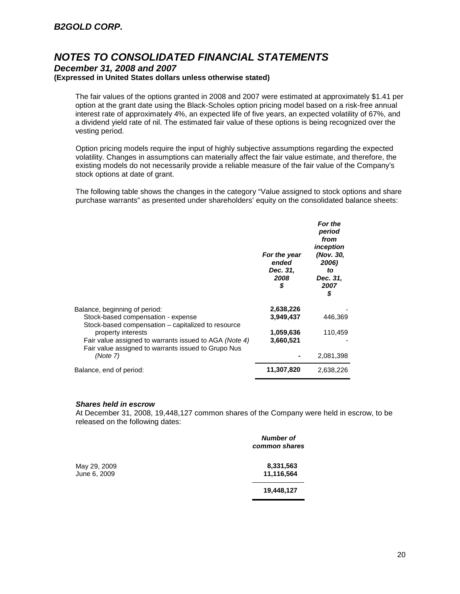### *December 31, 2008 and 2007* **(Expressed in United States dollars unless otherwise stated)**

The fair values of the options granted in 2008 and 2007 were estimated at approximately \$1.41 per option at the grant date using the Black-Scholes option pricing model based on a risk-free annual interest rate of approximately 4%, an expected life of five years, an expected volatility of 67%, and a dividend yield rate of nil. The estimated fair value of these options is being recognized over the vesting period.

Option pricing models require the input of highly subjective assumptions regarding the expected volatility. Changes in assumptions can materially affect the fair value estimate, and therefore, the existing models do not necessarily provide a reliable measure of the fair value of the Company's stock options at date of grant.

The following table shows the changes in the category "Value assigned to stock options and share purchase warrants" as presented under shareholders' equity on the consolidated balance sheets:

|                                                                                                               | For the year<br>ended<br>Dec. 31,<br>2008<br>\$ | <b>For the</b><br>period<br>from<br>inception<br>(Nov. 30,<br>2006)<br>to<br>Dec. 31,<br>2007<br>\$ |
|---------------------------------------------------------------------------------------------------------------|-------------------------------------------------|-----------------------------------------------------------------------------------------------------|
| Balance, beginning of period:                                                                                 | 2,638,226                                       |                                                                                                     |
| Stock-based compensation - expense<br>Stock-based compensation – capitalized to resource                      | 3,949,437                                       | 446,369                                                                                             |
| property interests                                                                                            | 1,059,636                                       | 110,459                                                                                             |
| Fair value assigned to warrants issued to AGA (Note 4)<br>Fair value assigned to warrants issued to Grupo Nus | 3,660,521                                       |                                                                                                     |
| (Note 7)                                                                                                      |                                                 | 2,081,398                                                                                           |
| Balance, end of period:                                                                                       | 11,307,820                                      | 2,638,226                                                                                           |

### *Shares held in escrow*

At December 31, 2008, 19,448,127 common shares of the Company were held in escrow, to be released on the following dates:

|              | <b>Number of</b><br>common shares |
|--------------|-----------------------------------|
| May 29, 2009 | 8,331,563                         |
| June 6, 2009 | 11,116,564                        |
|              | 19,448,127                        |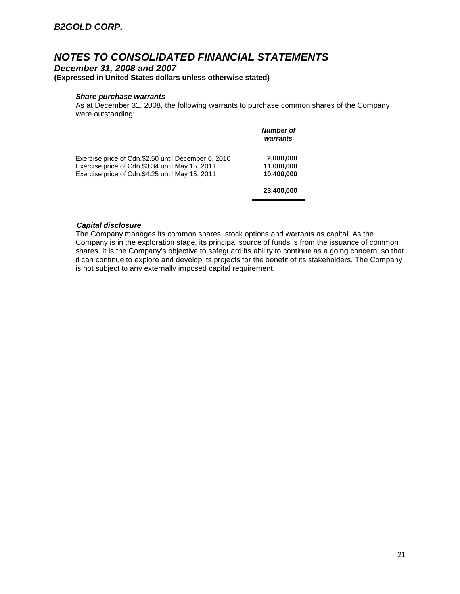*December 31, 2008 and 2007* **(Expressed in United States dollars unless otherwise stated)**

### *Share purchase warrants*

As at December 31, 2008, the following warrants to purchase common shares of the Company were outstanding:

|                                                                                                                                                           | Number of<br>warrants                 |
|-----------------------------------------------------------------------------------------------------------------------------------------------------------|---------------------------------------|
| Exercise price of Cdn.\$2.50 until December 6, 2010<br>Exercise price of Cdn.\$3.34 until May 15, 2011<br>Exercise price of Cdn.\$4.25 until May 15, 2011 | 2,000,000<br>11,000,000<br>10,400,000 |
|                                                                                                                                                           | 23,400,000                            |

### *Capital disclosure*

The Company manages its common shares, stock options and warrants as capital. As the Company is in the exploration stage, its principal source of funds is from the issuance of common shares. It is the Company's objective to safeguard its ability to continue as a going concern, so that it can continue to explore and develop its projects for the benefit of its stakeholders. The Company is not subject to any externally imposed capital requirement.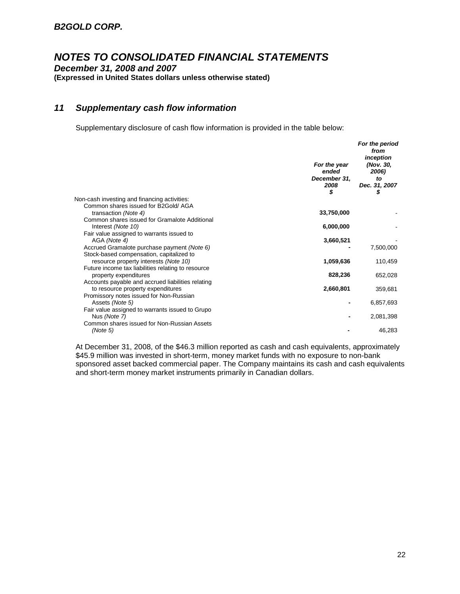*December 31, 2008 and 2007* **(Expressed in United States dollars unless otherwise stated)**

### *11 Supplementary cash flow information*

Supplementary disclosure of cash flow information is provided in the table below:

|                                                                                                                                         | For the year<br>ended<br>December 31,<br>2008<br>\$ | For the period<br>from<br>inception<br>(Nov. 30,<br>2006)<br>to<br>Dec. 31, 2007<br>\$ |
|-----------------------------------------------------------------------------------------------------------------------------------------|-----------------------------------------------------|----------------------------------------------------------------------------------------|
| Non-cash investing and financing activities:                                                                                            |                                                     |                                                                                        |
| Common shares issued for B2Gold/AGA<br>transaction (Note 4)<br>Common shares issued for Gramalote Additional                            | 33,750,000                                          |                                                                                        |
| Interest (Note 10)                                                                                                                      | 6,000,000                                           |                                                                                        |
| Fair value assigned to warrants issued to<br>AGA (Note 4)                                                                               | 3,660,521                                           |                                                                                        |
| Accrued Gramalote purchase payment (Note 6)                                                                                             |                                                     | 7,500,000                                                                              |
| Stock-based compensation, capitalized to<br>resource property interests (Note 10)<br>Future income tax liabilities relating to resource | 1,059,636                                           | 110,459                                                                                |
| property expenditures                                                                                                                   | 828,236                                             | 652,028                                                                                |
| Accounts payable and accrued liabilities relating<br>to resource property expenditures                                                  | 2,660,801                                           | 359,681                                                                                |
| Promissory notes issued for Non-Russian<br>Assets (Note 5)                                                                              |                                                     | 6,857,693                                                                              |
| Fair value assigned to warrants issued to Grupo<br>Nus (Note 7)                                                                         |                                                     | 2,081,398                                                                              |
| Common shares issued for Non-Russian Assets<br>(Note 5)                                                                                 |                                                     | 46,283                                                                                 |

At December 31, 2008, of the \$46.3 million reported as cash and cash equivalents, approximately \$45.9 million was invested in short-term, money market funds with no exposure to non-bank sponsored asset backed commercial paper. The Company maintains its cash and cash equivalents and short-term money market instruments primarily in Canadian dollars.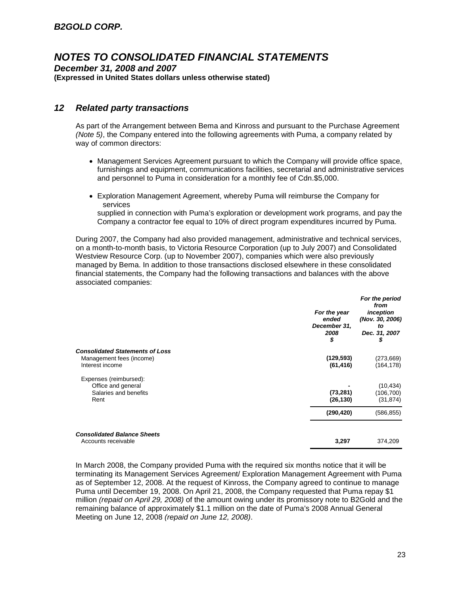*December 31, 2008 and 2007* **(Expressed in United States dollars unless otherwise stated)**

### *12 Related party transactions*

As part of the Arrangement between Bema and Kinross and pursuant to the Purchase Agreement *(Note 5)*, the Company entered into the following agreements with Puma, a company related by way of common directors:

- Management Services Agreement pursuant to which the Company will provide office space, furnishings and equipment, communications facilities, secretarial and administrative services and personnel to Puma in consideration for a monthly fee of Cdn.\$5,000.
- Exploration Management Agreement, whereby Puma will reimburse the Company for services

supplied in connection with Puma's exploration or development work programs, and pay the Company a contractor fee equal to 10% of direct program expenditures incurred by Puma.

During 2007, the Company had also provided management, administrative and technical services, on a month-to-month basis, to Victoria Resource Corporation (up to July 2007) and Consolidated Westview Resource Corp. (up to November 2007), companies which were also previously managed by Bema. In addition to those transactions disclosed elsewhere in these consolidated financial statements, the Company had the following transactions and balances with the above associated companies:

|                                                                                       | For the year<br>ended<br>December 31,<br>2008<br>\$ | For the period<br>from<br>inception<br>(Nov. 30, 2006)<br>to<br>Dec. 31, 2007<br>\$ |
|---------------------------------------------------------------------------------------|-----------------------------------------------------|-------------------------------------------------------------------------------------|
| <b>Consolidated Statements of Loss</b><br>Management fees (income)<br>Interest income | (129, 593)<br>(61, 416)                             | (273,669)<br>(164,178)                                                              |
| Expenses (reimbursed):<br>Office and general<br>Salaries and benefits<br>Rent         | (73, 281)<br>(26, 130)                              | (10, 434)<br>(106,700)<br>(31, 874)                                                 |
|                                                                                       | (290, 420)                                          | (586, 855)                                                                          |
| <b>Consolidated Balance Sheets</b><br>Accounts receivable                             | 3,297                                               | 374,209                                                                             |

In March 2008, the Company provided Puma with the required six months notice that it will be terminating its Management Services Agreement/ Exploration Management Agreement with Puma as of September 12, 2008. At the request of Kinross, the Company agreed to continue to manage Puma until December 19, 2008. On April 21, 2008, the Company requested that Puma repay \$1 million *(repaid on April 29, 2008)* of the amount owing under its promissory note to B2Gold and the remaining balance of approximately \$1.1 million on the date of Puma's 2008 Annual General Meeting on June 12, 2008 *(repaid on June 12, 2008)*.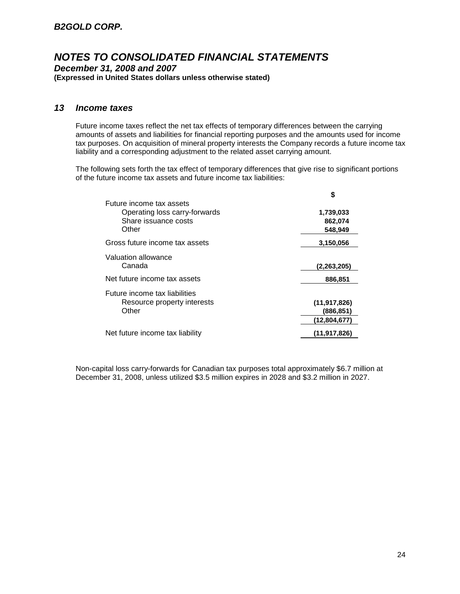*December 31, 2008 and 2007* **(Expressed in United States dollars unless otherwise stated)**

### *13 Income taxes*

Future income taxes reflect the net tax effects of temporary differences between the carrying amounts of assets and liabilities for financial reporting purposes and the amounts used for income tax purposes. On acquisition of mineral property interests the Company records a future income tax liability and a corresponding adjustment to the related asset carrying amount.

The following sets forth the tax effect of temporary differences that give rise to significant portions of the future income tax assets and future income tax liabilities:

| S              |
|----------------|
|                |
| 1,739,033      |
| 862,074        |
| 548.949        |
| 3,150,056      |
|                |
| (2,263,205)    |
| 886,851        |
|                |
| (11, 917, 826) |
| (886,851)      |
| (12,804,677)   |
| (11, 917, 826) |
|                |

Non-capital loss carry-forwards for Canadian tax purposes total approximately \$6.7 million at December 31, 2008, unless utilized \$3.5 million expires in 2028 and \$3.2 million in 2027.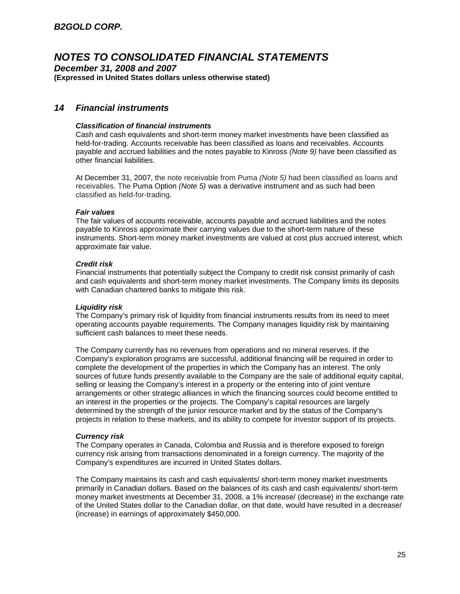*December 31, 2008 and 2007* **(Expressed in United States dollars unless otherwise stated)**

### *14 Financial instruments*

### *Classification of financial instruments*

Cash and cash equivalents and short-term money market investments have been classified as held-for-trading. Accounts receivable has been classified as loans and receivables. Accounts payable and accrued liabilities and the notes payable to Kinross *(Note 9)* have been classified as other financial liabilities.

At December 31, 2007, the note receivable from Puma *(Note 5)* had been classified as loans and receivables. The Puma Option *(Note 5)* was a derivative instrument and as such had been classified as held-for-trading.

#### *Fair values*

The fair values of accounts receivable, accounts payable and accrued liabilities and the notes payable to Kinross approximate their carrying values due to the short-term nature of these instruments. Short-term money market investments are valued at cost plus accrued interest, which approximate fair value.

#### *Credit risk*

Financial instruments that potentially subject the Company to credit risk consist primarily of cash and cash equivalents and short-term money market investments. The Company limits its deposits with Canadian chartered banks to mitigate this risk.

### *Liquidity risk*

The Company's primary risk of liquidity from financial instruments results from its need to meet operating accounts payable requirements. The Company manages liquidity risk by maintaining sufficient cash balances to meet these needs.

The Company currently has no revenues from operations and no mineral reserves. If the Company's exploration programs are successful, additional financing will be required in order to complete the development of the properties in which the Company has an interest. The only sources of future funds presently available to the Company are the sale of additional equity capital, selling or leasing the Company's interest in a property or the entering into of joint venture arrangements or other strategic alliances in which the financing sources could become entitled to an interest in the properties or the projects. The Company's capital resources are largely determined by the strength of the junior resource market and by the status of the Company's projects in relation to these markets, and its ability to compete for investor support of its projects.

#### *Currency risk*

The Company operates in Canada, Colombia and Russia and is therefore exposed to foreign currency risk arising from transactions denominated in a foreign currency. The majority of the Company's expenditures are incurred in United States dollars.

The Company maintains its cash and cash equivalents/ short-term money market investments primarily in Canadian dollars. Based on the balances of its cash and cash equivalents/ short-term money market investments at December 31, 2008, a 1% increase/ (decrease) in the exchange rate of the United States dollar to the Canadian dollar, on that date, would have resulted in a decrease/ (increase) in earnings of approximately \$450,000.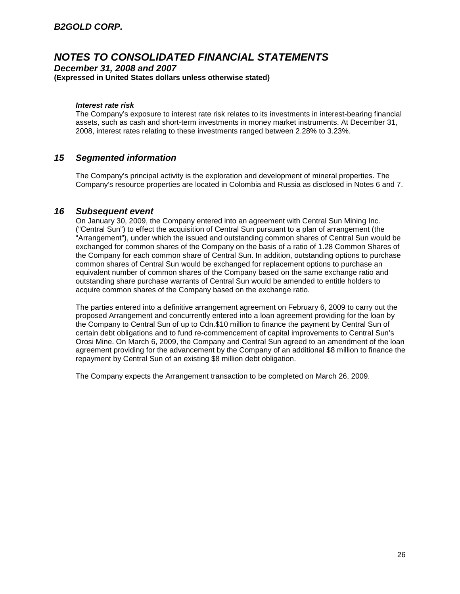*December 31, 2008 and 2007* **(Expressed in United States dollars unless otherwise stated)**

### *Interest rate risk*

The Company's exposure to interest rate risk relates to its investments in interest-bearing financial assets, such as cash and short-term investments in money market instruments. At December 31, 2008, interest rates relating to these investments ranged between 2.28% to 3.23%.

### *15 Segmented information*

The Company's principal activity is the exploration and development of mineral properties. The Company's resource properties are located in Colombia and Russia as disclosed in Notes 6 and 7.

### *16 Subsequent event*

On January 30, 2009, the Company entered into an agreement with Central Sun Mining Inc. ("Central Sun") to effect the acquisition of Central Sun pursuant to a plan of arrangement (the "Arrangement"), under which the issued and outstanding common shares of Central Sun would be exchanged for common shares of the Company on the basis of a ratio of 1.28 Common Shares of the Company for each common share of Central Sun. In addition, outstanding options to purchase common shares of Central Sun would be exchanged for replacement options to purchase an equivalent number of common shares of the Company based on the same exchange ratio and outstanding share purchase warrants of Central Sun would be amended to entitle holders to acquire common shares of the Company based on the exchange ratio.

The parties entered into a definitive arrangement agreement on February 6, 2009 to carry out the proposed Arrangement and concurrently entered into a loan agreement providing for the loan by the Company to Central Sun of up to Cdn.\$10 million to finance the payment by Central Sun of certain debt obligations and to fund re-commencement of capital improvements to Central Sun's Orosi Mine. On March 6, 2009, the Company and Central Sun agreed to an amendment of the loan agreement providing for the advancement by the Company of an additional \$8 million to finance the repayment by Central Sun of an existing \$8 million debt obligation.

The Company expects the Arrangement transaction to be completed on March 26, 2009.